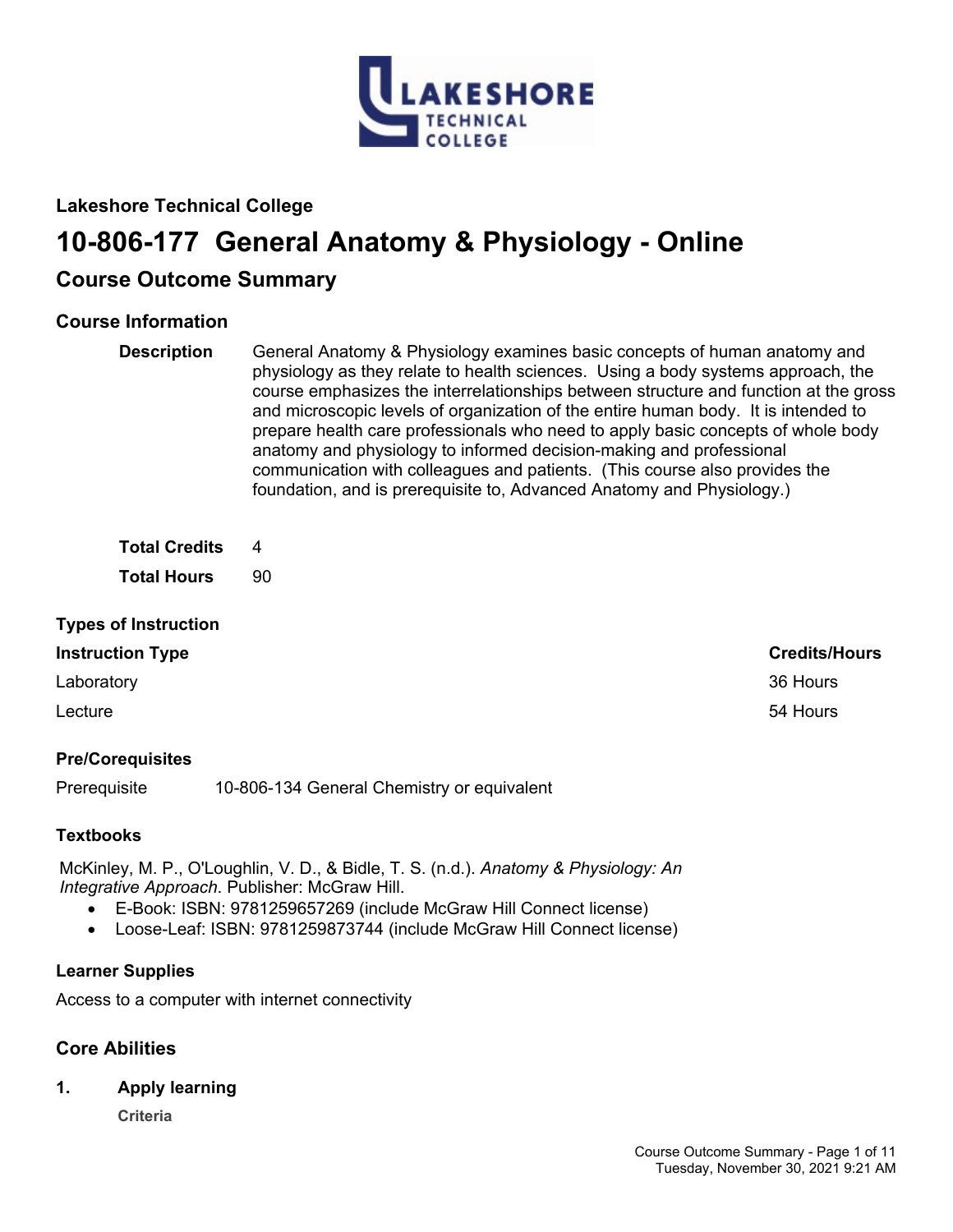

# **Lakeshore Technical College**

# **10-806-177 General Anatomy & Physiology - Online**

# **Course Outcome Summary**

# **Course Information**

**Description** General Anatomy & Physiology examines basic concepts of human anatomy and physiology as they relate to health sciences. Using a body systems approach, the course emphasizes the interrelationships between structure and function at the gross and microscopic levels of organization of the entire human body. It is intended to prepare health care professionals who need to apply basic concepts of whole body anatomy and physiology to informed decision-making and professional communication with colleagues and patients. (This course also provides the foundation, and is prerequisite to, Advanced Anatomy and Physiology.)

**Total Credits** 4

**Total Hours** 90

# **Types of Instruction**

# **Instruction Type Credits/Hours**

Laboratory 36 Hours

Lecture 54 Hours

# **Pre/Corequisites**

Prerequisite 10-806-134 General Chemistry or equivalent

# **Textbooks**

McKinley, M. P., O'Loughlin, V. D., & Bidle, T. S. (n.d.). *Anatomy & Physiology: An Integrative Approach*. Publisher: McGraw Hill.

- E-Book: ISBN: 9781259657269 (include McGraw Hill Connect license)
- Loose-Leaf: ISBN: 9781259873744 (include McGraw Hill Connect license)

# **Learner Supplies**

Access to a computer with internet connectivity

# **Core Abilities**

**1. Apply learning**

**Criteria**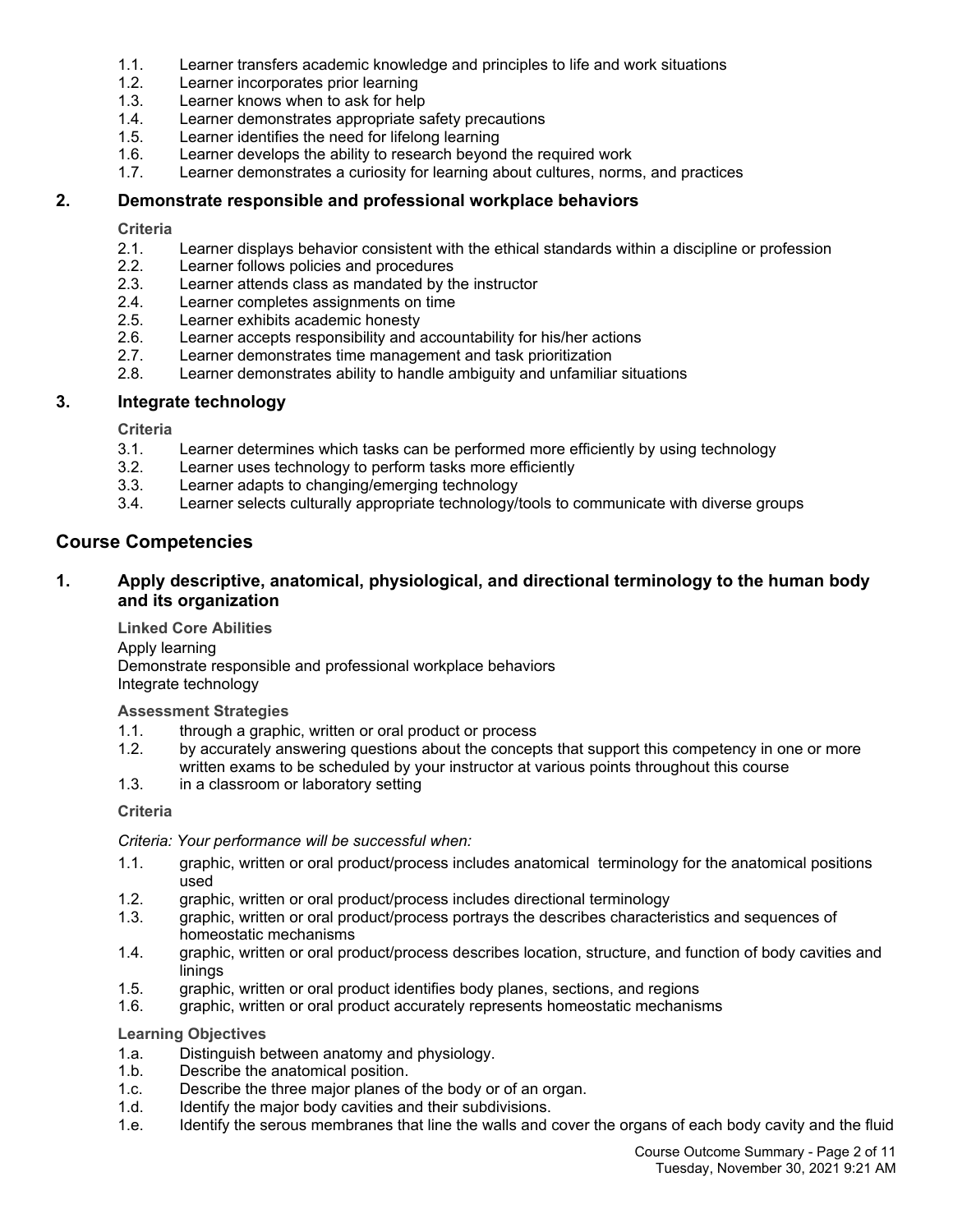- 1.1. Learner transfers academic knowledge and principles to life and work situations
- 1.2. Learner incorporates prior learning
- 1.3. Learner knows when to ask for help
- 1.4. Learner demonstrates appropriate safety precautions
- 1.5. Learner identifies the need for lifelong learning
- 1.6. Learner develops the ability to research beyond the required work
- 1.7. Learner demonstrates a curiosity for learning about cultures, norms, and practices

# **2. Demonstrate responsible and professional workplace behaviors**

**Criteria**

- 2.1. Learner displays behavior consistent with the ethical standards within a discipline or profession 2.2.
- Learner follows policies and procedures
- 2.3. Learner attends class as mandated by the instructor
- 2.4. Learner completes assignments on time
- 2.5. Learner exhibits academic honesty
- 2.6. Learner accepts responsibility and accountability for his/her actions
- 2.7. Learner demonstrates time management and task prioritization
- 2.8. Learner demonstrates ability to handle ambiguity and unfamiliar situations

#### **3. Integrate technology**

**Criteria**

- 3.1. Learner determines which tasks can be performed more efficiently by using technology
- 3.2. Learner uses technology to perform tasks more efficiently
- 3.3. Learner adapts to changing/emerging technology
- 3.4. Learner selects culturally appropriate technology/tools to communicate with diverse groups

# **Course Competencies**

# **1. Apply descriptive, anatomical, physiological, and directional terminology to the human body and its organization**

**Linked Core Abilities**

Apply learning

Demonstrate responsible and professional workplace behaviors Integrate technology

**Assessment Strategies**

- 1.1. through a graphic, written or oral product or process
- 1.2. by accurately answering questions about the concepts that support this competency in one or more written exams to be scheduled by your instructor at various points throughout this course
- 1.3. in a classroom or laboratory setting

#### **Criteria**

*Criteria: Your performance will be successful when:*

- 1.1. graphic, written or oral product/process includes anatomical terminology for the anatomical positions used
- 1.2. graphic, written or oral product/process includes directional terminology
- 1.3. graphic, written or oral product/process portrays the describes characteristics and sequences of homeostatic mechanisms
- 1.4. graphic, written or oral product/process describes location, structure, and function of body cavities and linings
- 1.5. graphic, written or oral product identifies body planes, sections, and regions
- 1.6. graphic, written or oral product accurately represents homeostatic mechanisms

- 1.a. Distinguish between anatomy and physiology.
- 1.b. Describe the anatomical position.
- 1.c. Describe the three major planes of the body or of an organ.
- 1.d. Identify the major body cavities and their subdivisions.
- 1.e. Identify the serous membranes that line the walls and cover the organs of each body cavity and the fluid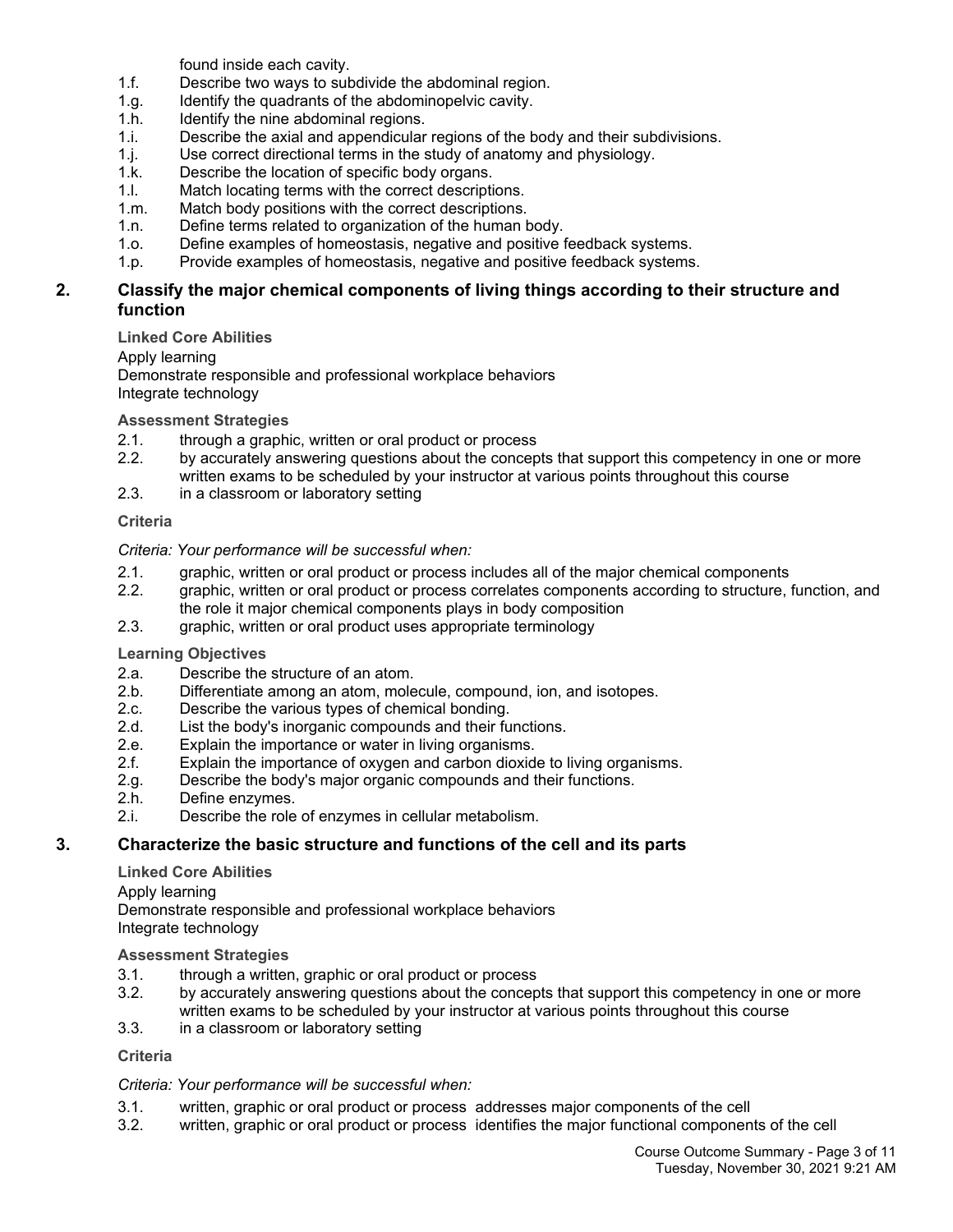found inside each cavity.

- 1.f. Describe two ways to subdivide the abdominal region.
- 1.g. Identify the quadrants of the abdominopelvic cavity.
- 1.h. Identify the nine abdominal regions.
- 1.i. Describe the axial and appendicular regions of the body and their subdivisions.
- 1.j. Use correct directional terms in the study of anatomy and physiology.
- 1.k. Describe the location of specific body organs.
- 1.l. Match locating terms with the correct descriptions.
- 1.m. Match body positions with the correct descriptions.
- 1.n. Define terms related to organization of the human body.
- 1.o. Define examples of homeostasis, negative and positive feedback systems.
- 1.p. Provide examples of homeostasis, negative and positive feedback systems.

# **2. Classify the major chemical components of living things according to their structure and function**

**Linked Core Abilities**

Apply learning

Demonstrate responsible and professional workplace behaviors Integrate technology

**Assessment Strategies**

- 2.1. through a graphic, written or oral product or process
- 2.2. by accurately answering questions about the concepts that support this competency in one or more written exams to be scheduled by your instructor at various points throughout this course
- 2.3. in a classroom or laboratory setting

# **Criteria**

*Criteria: Your performance will be successful when:*

- 2.1. graphic, written or oral product or process includes all of the major chemical components
- 2.2. graphic, written or oral product or process correlates components according to structure, function, and the role it major chemical components plays in body composition
- 2.3. graphic, written or oral product uses appropriate terminology

**Learning Objectives**

- 2.a. Describe the structure of an atom.
- 2.b. Differentiate among an atom, molecule, compound, ion, and isotopes.
- 2.c. Describe the various types of chemical bonding.
- 2.d. List the body's inorganic compounds and their functions.
- 2.e. Explain the importance or water in living organisms.<br>2.f. Explain the importance of oxygen and carbon dioxide
- Explain the importance of oxygen and carbon dioxide to living organisms.
- 2.g. Describe the body's major organic compounds and their functions.
- 2.h. Define enzymes.
- 2.i. Describe the role of enzymes in cellular metabolism.

# **3. Characterize the basic structure and functions of the cell and its parts**

**Linked Core Abilities** Apply learning Demonstrate responsible and professional workplace behaviors Integrate technology

# **Assessment Strategies**

- 3.1. through a written, graphic or oral product or process
- 3.2. by accurately answering questions about the concepts that support this competency in one or more written exams to be scheduled by your instructor at various points throughout this course
- 3.3. in a classroom or laboratory setting

# **Criteria**

# *Criteria: Your performance will be successful when:*

- 3.1. written, graphic or oral product or process addresses major components of the cell
- 3.2. written, graphic or oral product or process identifies the major functional components of the cell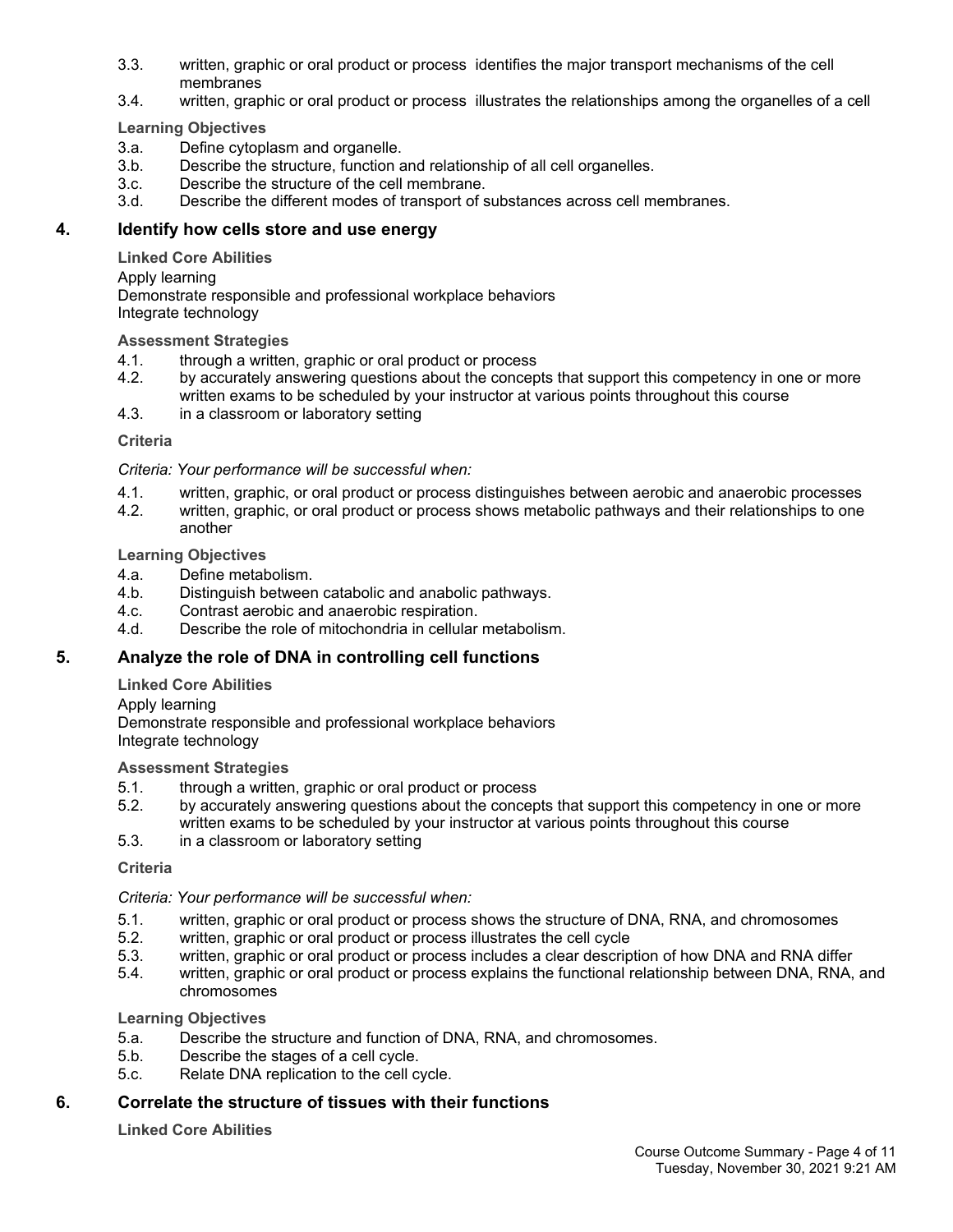- 3.3. written, graphic or oral product or process identifies the major transport mechanisms of the cell membranes
- 3.4. written, graphic or oral product or process illustrates the relationships among the organelles of a cell

**Learning Objectives**

- 3.a. Define cytoplasm and organelle.
- 3.b. Describe the structure, function and relationship of all cell organelles.
- 3.c. Describe the structure of the cell membrane.
- 3.d. Describe the different modes of transport of substances across cell membranes.

# **4. Identify how cells store and use energy**

**Linked Core Abilities**

Apply learning

Demonstrate responsible and professional workplace behaviors Integrate technology

# **Assessment Strategies**

- 4.1. through a written, graphic or oral product or process
- 4.2. by accurately answering questions about the concepts that support this competency in one or more written exams to be scheduled by your instructor at various points throughout this course
- 4.3. in a classroom or laboratory setting

# **Criteria**

*Criteria: Your performance will be successful when:*

- 4.1. written, graphic, or oral product or process distinguishes between aerobic and anaerobic processes
- 4.2. written, graphic, or oral product or process shows metabolic pathways and their relationships to one another

#### **Learning Objectives**

- 4.a. Define metabolism.
- 4.b. Distinguish between catabolic and anabolic pathways.<br>4.c. Contrast aerobic and anaerobic respiration.
- Contrast aerobic and anaerobic respiration.
- 4.d. Describe the role of mitochondria in cellular metabolism.

# **5. Analyze the role of DNA in controlling cell functions**

**Linked Core Abilities**

Apply learning

Demonstrate responsible and professional workplace behaviors Integrate technology

# **Assessment Strategies**

- 5.1. through a written, graphic or oral product or process
- 5.2. by accurately answering questions about the concepts that support this competency in one or more written exams to be scheduled by your instructor at various points throughout this course
- 5.3. in a classroom or laboratory setting

#### **Criteria**

*Criteria: Your performance will be successful when:*

- 5.1. written, graphic or oral product or process shows the structure of DNA, RNA, and chromosomes
- 5.2. written, graphic or oral product or process illustrates the cell cycle
- 5.3. written, graphic or oral product or process includes a clear description of how DNA and RNA differ
- 5.4. written, graphic or oral product or process explains the functional relationship between DNA, RNA, and chromosomes

# **Learning Objectives**

- 5.a. Describe the structure and function of DNA, RNA, and chromosomes.
- 5.b. Describe the stages of a cell cycle.
- 5.c. Relate DNA replication to the cell cycle.

# **6. Correlate the structure of tissues with their functions**

**Linked Core Abilities**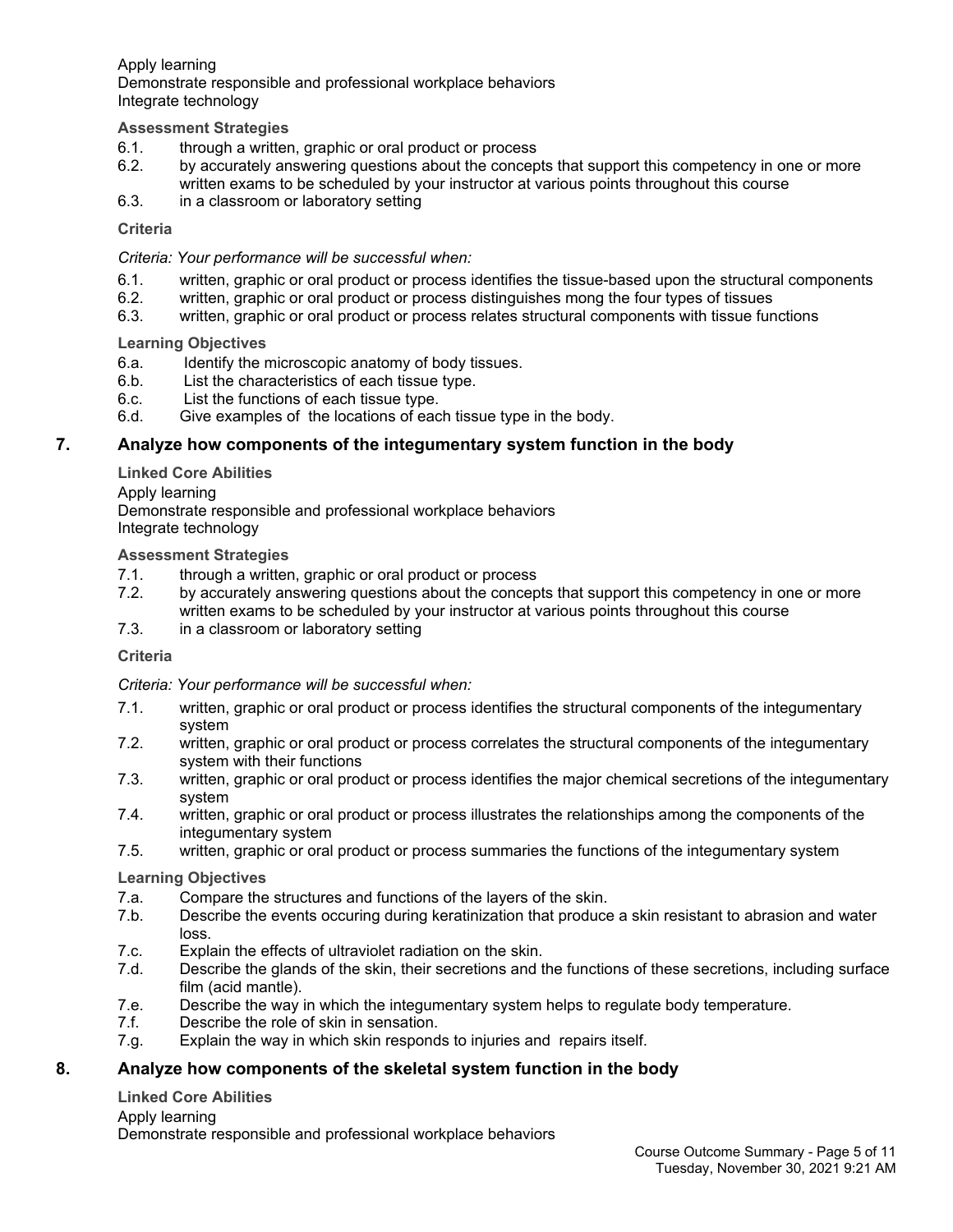Apply learning Demonstrate responsible and professional workplace behaviors Integrate technology

# **Assessment Strategies**

- 6.1. through a written, graphic or oral product or process
- 6.2. by accurately answering questions about the concepts that support this competency in one or more written exams to be scheduled by your instructor at various points throughout this course
- 6.3. in a classroom or laboratory setting

#### **Criteria**

#### *Criteria: Your performance will be successful when:*

- 6.1. written, graphic or oral product or process identifies the tissue-based upon the structural components
- 6.2. written, graphic or oral product or process distinguishes mong the four types of tissues
- 6.3. written, graphic or oral product or process relates structural components with tissue functions

**Learning Objectives**

- 6.a. Identify the microscopic anatomy of body tissues.
- 6.b. List the characteristics of each tissue type.
- 6.c. List the functions of each tissue type.
- 6.d. Give examples of the locations of each tissue type in the body.

# **7. Analyze how components of the integumentary system function in the body**

**Linked Core Abilities**

Apply learning Demonstrate responsible and professional workplace behaviors Integrate technology

#### **Assessment Strategies**

- 7.1. through a written, graphic or oral product or process
- 7.2. by accurately answering questions about the concepts that support this competency in one or more written exams to be scheduled by your instructor at various points throughout this course
- 7.3. in a classroom or laboratory setting

#### **Criteria**

*Criteria: Your performance will be successful when:*

- 7.1. written, graphic or oral product or process identifies the structural components of the integumentary system
- 7.2. written, graphic or oral product or process correlates the structural components of the integumentary system with their functions
- 7.3. written, graphic or oral product or process identifies the major chemical secretions of the integumentary system
- 7.4. written, graphic or oral product or process illustrates the relationships among the components of the integumentary system
- 7.5. written, graphic or oral product or process summaries the functions of the integumentary system

#### **Learning Objectives**

- 7.a. Compare the structures and functions of the layers of the skin.
- 7.b. Describe the events occuring during keratinization that produce a skin resistant to abrasion and water loss.
- 7.c. Explain the effects of ultraviolet radiation on the skin.
- 7.d. Describe the glands of the skin, their secretions and the functions of these secretions, including surface film (acid mantle).
- 7.e. Describe the way in which the integumentary system helps to regulate body temperature.
- 7.f. Describe the role of skin in sensation.
- 7.g. Explain the way in which skin responds to injuries and repairs itself.

# **8. Analyze how components of the skeletal system function in the body**

#### **Linked Core Abilities**

#### Apply learning

Demonstrate responsible and professional workplace behaviors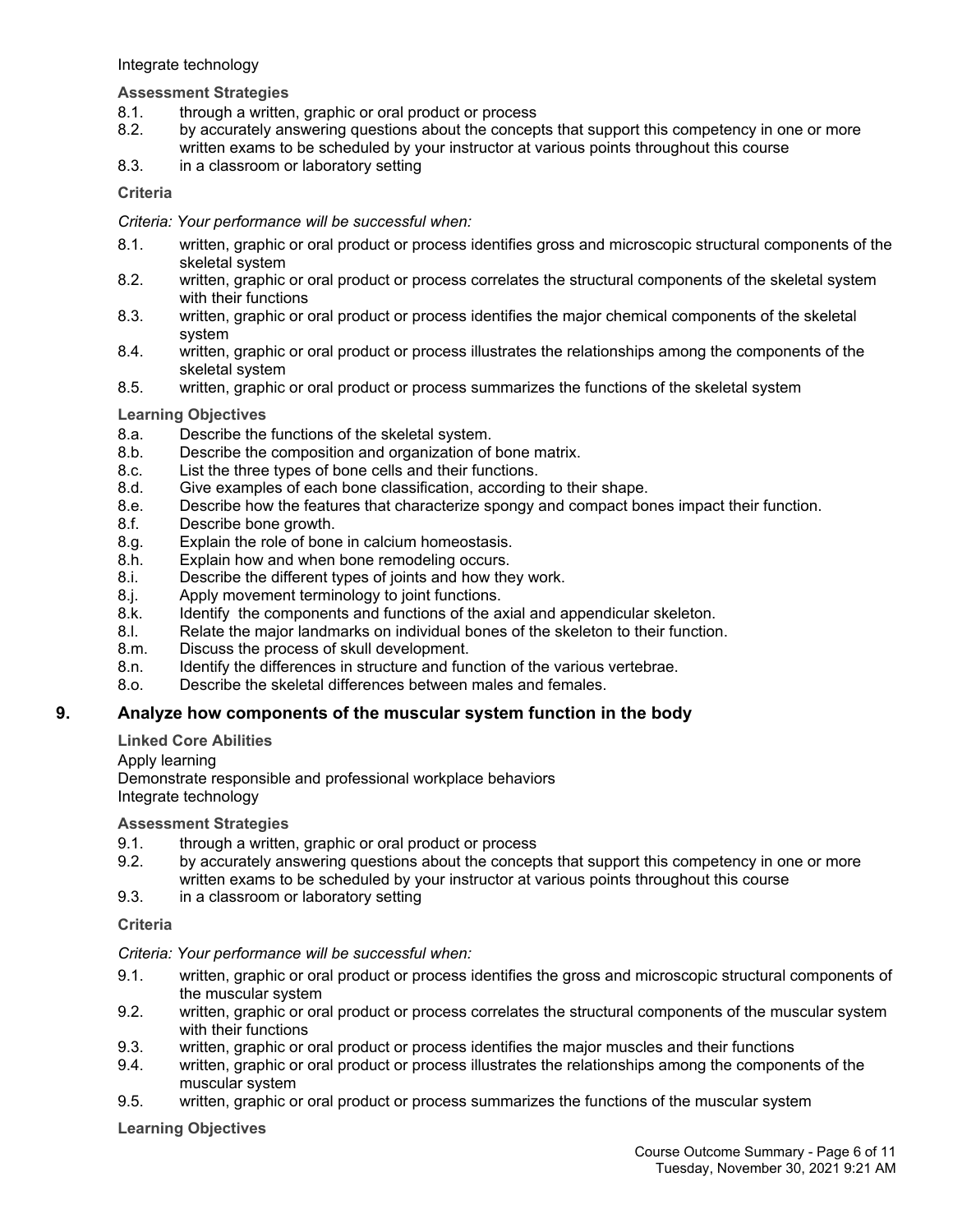Integrate technology

### **Assessment Strategies**

- 8.1. through a written, graphic or oral product or process
- 8.2. by accurately answering questions about the concepts that support this competency in one or more written exams to be scheduled by your instructor at various points throughout this course
- 8.3. in a classroom or laboratory setting

#### **Criteria**

### *Criteria: Your performance will be successful when:*

- 8.1. written, graphic or oral product or process identifies gross and microscopic structural components of the skeletal system
- 8.2. written, graphic or oral product or process correlates the structural components of the skeletal system with their functions
- 8.3. written, graphic or oral product or process identifies the major chemical components of the skeletal system
- 8.4. written, graphic or oral product or process illustrates the relationships among the components of the skeletal system
- 8.5. written, graphic or oral product or process summarizes the functions of the skeletal system

#### **Learning Objectives**

- 8.a. Describe the functions of the skeletal system.
- 8.b. Describe the composition and organization of bone matrix.
- 8.c. List the three types of bone cells and their functions.
- 8.d. Give examples of each bone classification, according to their shape.
- 8.e. Describe how the features that characterize spongy and compact bones impact their function.
- 8.f. Describe bone growth.
- 8.g. Explain the role of bone in calcium homeostasis.
- 8.h. Explain how and when bone remodeling occurs.
- 8.i. Describe the different types of joints and how they work.
- 8.j. Apply movement terminology to joint functions.
- 8.k. Identify the components and functions of the axial and appendicular skeleton.
- 8.l. Relate the major landmarks on individual bones of the skeleton to their function.
- 8.m. Discuss the process of skull development.
- 8.n. Identify the differences in structure and function of the various vertebrae.
- 8.o. Describe the skeletal differences between males and females.

# **9. Analyze how components of the muscular system function in the body**

# **Linked Core Abilities**

Apply learning

Demonstrate responsible and professional workplace behaviors Integrate technology

#### **Assessment Strategies**

- 9.1. through a written, graphic or oral product or process
- 9.2. by accurately answering questions about the concepts that support this competency in one or more written exams to be scheduled by your instructor at various points throughout this course
- 9.3. in a classroom or laboratory setting

#### **Criteria**

#### *Criteria: Your performance will be successful when:*

- 9.1. written, graphic or oral product or process identifies the gross and microscopic structural components of the muscular system
- 9.2. written, graphic or oral product or process correlates the structural components of the muscular system with their functions
- 9.3. written, graphic or oral product or process identifies the major muscles and their functions
- 9.4. written, graphic or oral product or process illustrates the relationships among the components of the muscular system
- 9.5. written, graphic or oral product or process summarizes the functions of the muscular system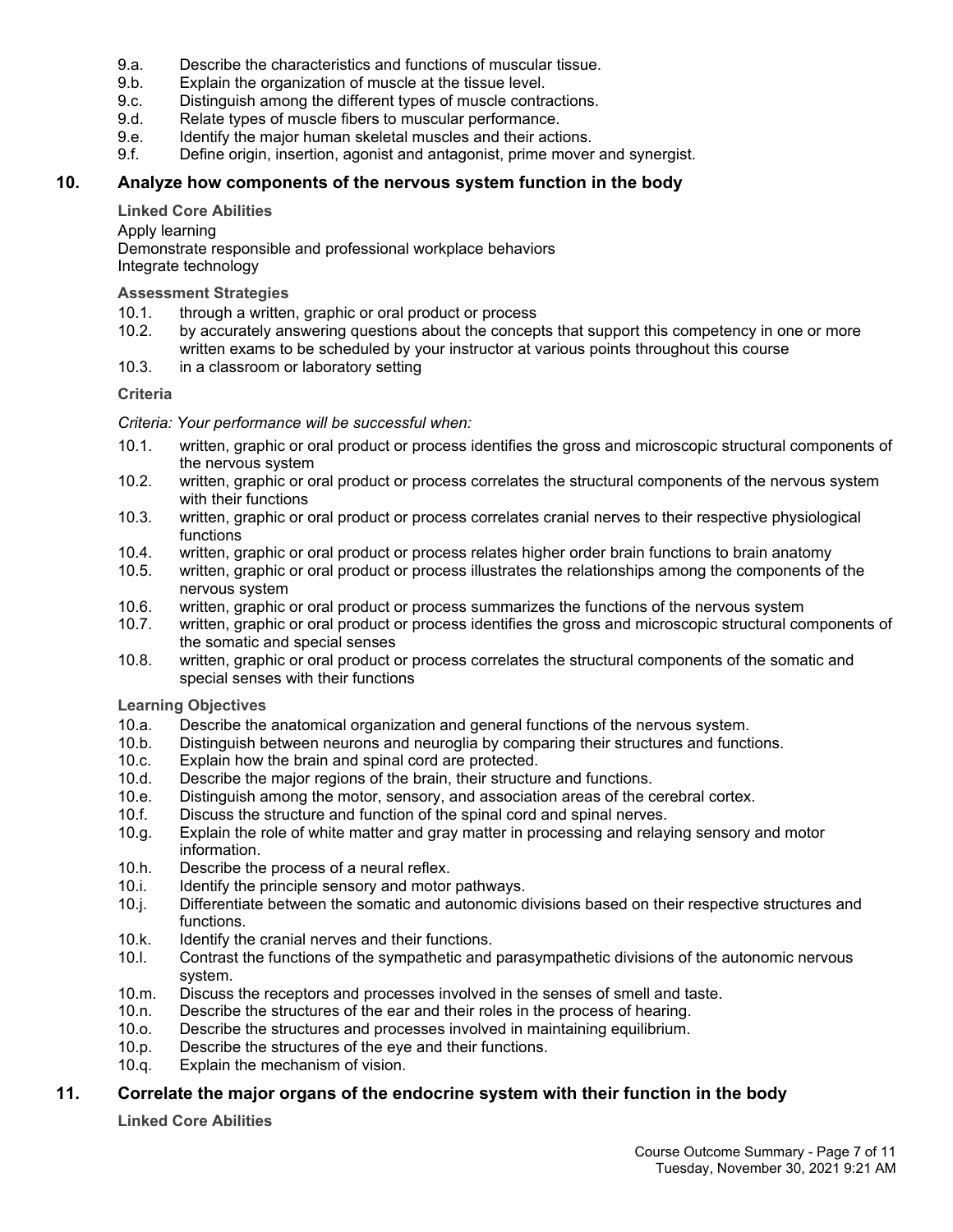- 9.a. Describe the characteristics and functions of muscular tissue.
- 9.b. Explain the organization of muscle at the tissue level.
- 9.c. Distinguish among the different types of muscle contractions.
- 9.d. Relate types of muscle fibers to muscular performance.
- 9.e. Identify the major human skeletal muscles and their actions.<br>9.f. Define origin, insertion, agonist and antagonist, prime mover
- Define origin, insertion, agonist and antagonist, prime mover and synergist.

# **10. Analyze how components of the nervous system function in the body**

#### **Linked Core Abilities**

Apply learning

Demonstrate responsible and professional workplace behaviors Integrate technology

#### **Assessment Strategies**

- 10.1. through a written, graphic or oral product or process
- 10.2. by accurately answering questions about the concepts that support this competency in one or more written exams to be scheduled by your instructor at various points throughout this course
- 10.3. in a classroom or laboratory setting

#### **Criteria**

#### *Criteria: Your performance will be successful when:*

- 10.1. written, graphic or oral product or process identifies the gross and microscopic structural components of the nervous system
- 10.2. written, graphic or oral product or process correlates the structural components of the nervous system with their functions
- 10.3. written, graphic or oral product or process correlates cranial nerves to their respective physiological functions
- 10.4. written, graphic or oral product or process relates higher order brain functions to brain anatomy
- 10.5. written, graphic or oral product or process illustrates the relationships among the components of the nervous system
- 10.6. written, graphic or oral product or process summarizes the functions of the nervous system
- 10.7. written, graphic or oral product or process identifies the gross and microscopic structural components of the somatic and special senses
- 10.8. written, graphic or oral product or process correlates the structural components of the somatic and special senses with their functions

**Learning Objectives**

- 10.a. Describe the anatomical organization and general functions of the nervous system.
- 10.b. Distinguish between neurons and neuroglia by comparing their structures and functions.
- 10.c. Explain how the brain and spinal cord are protected.<br>10.d. Describe the maior regions of the brain, their structur
- Describe the major regions of the brain, their structure and functions.
- 10.e. Distinguish among the motor, sensory, and association areas of the cerebral cortex.
- 10.f. Discuss the structure and function of the spinal cord and spinal nerves.
- 10.g. Explain the role of white matter and gray matter in processing and relaying sensory and motor information.
- 10.h. Describe the process of a neural reflex.
- 10.i. Identify the principle sensory and motor pathways.
- 10.j. Differentiate between the somatic and autonomic divisions based on their respective structures and functions.
- 10.k. Identify the cranial nerves and their functions.
- 10.l. Contrast the functions of the sympathetic and parasympathetic divisions of the autonomic nervous system.
- 10.m. Discuss the receptors and processes involved in the senses of smell and taste.
- 10.n. Describe the structures of the ear and their roles in the process of hearing.
- 10.o. Describe the structures and processes involved in maintaining equilibrium.
- 10.p. Describe the structures of the eye and their functions.
- 10.q. Explain the mechanism of vision.

# **11. Correlate the major organs of the endocrine system with their function in the body**

**Linked Core Abilities**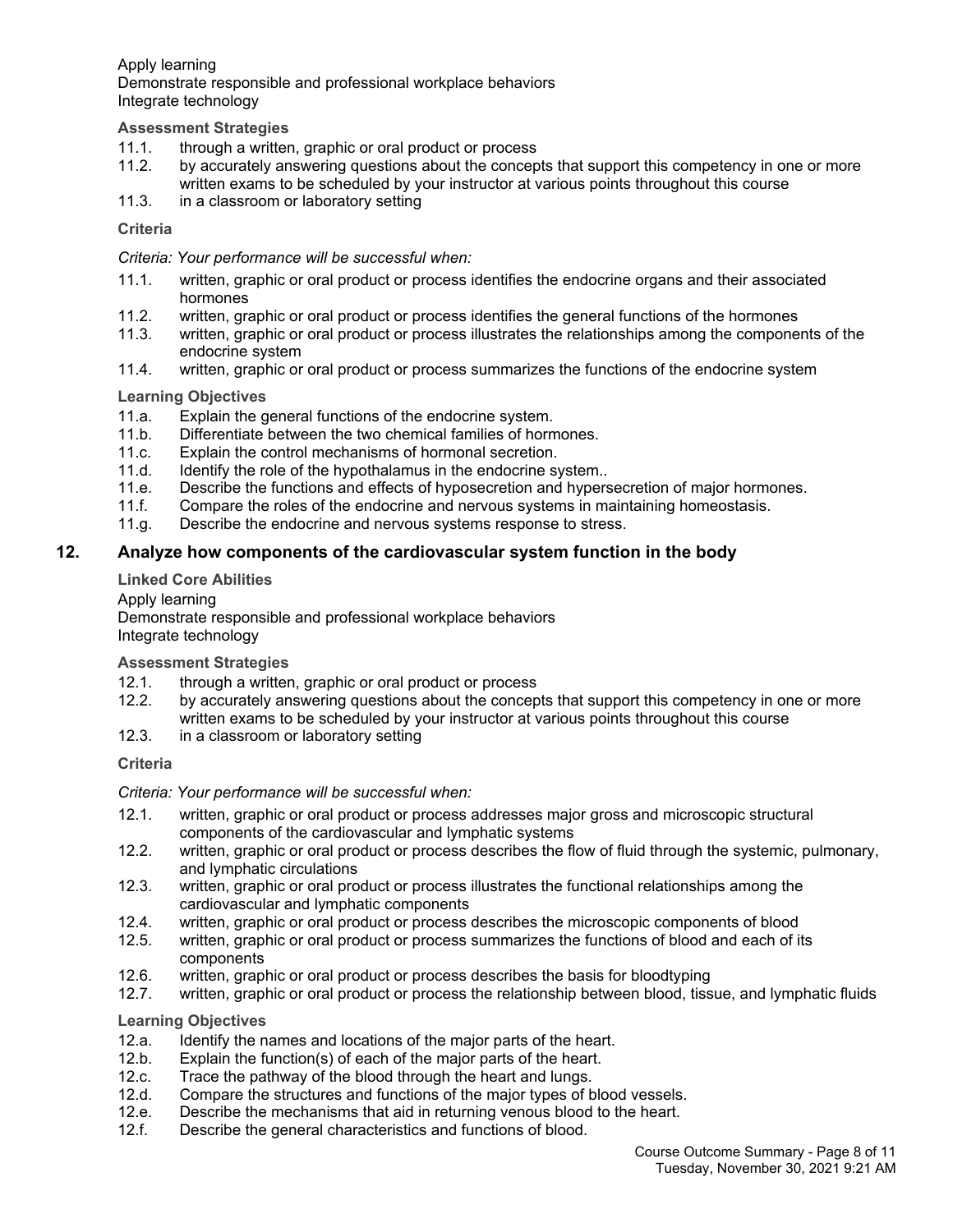Apply learning Demonstrate responsible and professional workplace behaviors Integrate technology

### **Assessment Strategies**

- 11.1. through a written, graphic or oral product or process
- 11.2. by accurately answering questions about the concepts that support this competency in one or more written exams to be scheduled by your instructor at various points throughout this course
- 11.3. in a classroom or laboratory setting

#### **Criteria**

*Criteria: Your performance will be successful when:*

- 11.1. written, graphic or oral product or process identifies the endocrine organs and their associated hormones
- 11.2. written, graphic or oral product or process identifies the general functions of the hormones
- 11.3. written, graphic or oral product or process illustrates the relationships among the components of the endocrine system
- 11.4. written, graphic or oral product or process summarizes the functions of the endocrine system

#### **Learning Objectives**

- 11.a. Explain the general functions of the endocrine system.
- 11.b. Differentiate between the two chemical families of hormones.
- 11.c. Explain the control mechanisms of hormonal secretion.
- 11.d. Identify the role of the hypothalamus in the endocrine system..
- 11.e. Describe the functions and effects of hyposecretion and hypersecretion of major hormones.
- 11.f. Compare the roles of the endocrine and nervous systems in maintaining homeostasis.
- 11.g. Describe the endocrine and nervous systems response to stress.

# **12. Analyze how components of the cardiovascular system function in the body**

### **Linked Core Abilities**

Apply learning

Demonstrate responsible and professional workplace behaviors Integrate technology

**Assessment Strategies**

- 12.1. through a written, graphic or oral product or process
- 12.2. by accurately answering questions about the concepts that support this competency in one or more written exams to be scheduled by your instructor at various points throughout this course
- 12.3. in a classroom or laboratory setting

#### **Criteria**

*Criteria: Your performance will be successful when:*

- 12.1. written, graphic or oral product or process addresses major gross and microscopic structural components of the cardiovascular and lymphatic systems
- 12.2. written, graphic or oral product or process describes the flow of fluid through the systemic, pulmonary, and lymphatic circulations
- 12.3. written, graphic or oral product or process illustrates the functional relationships among the cardiovascular and lymphatic components
- 12.4. written, graphic or oral product or process describes the microscopic components of blood
- 12.5. written, graphic or oral product or process summarizes the functions of blood and each of its components
- 12.6. written, graphic or oral product or process describes the basis for bloodtyping
- 12.7. written, graphic or oral product or process the relationship between blood, tissue, and lymphatic fluids

- 12.a. Identify the names and locations of the major parts of the heart.
- 12.b. Explain the function(s) of each of the major parts of the heart.
- 12.c. Trace the pathway of the blood through the heart and lungs.
- 12.d. Compare the structures and functions of the major types of blood vessels.
- 12.e. Describe the mechanisms that aid in returning venous blood to the heart.
- 12.f. Describe the general characteristics and functions of blood.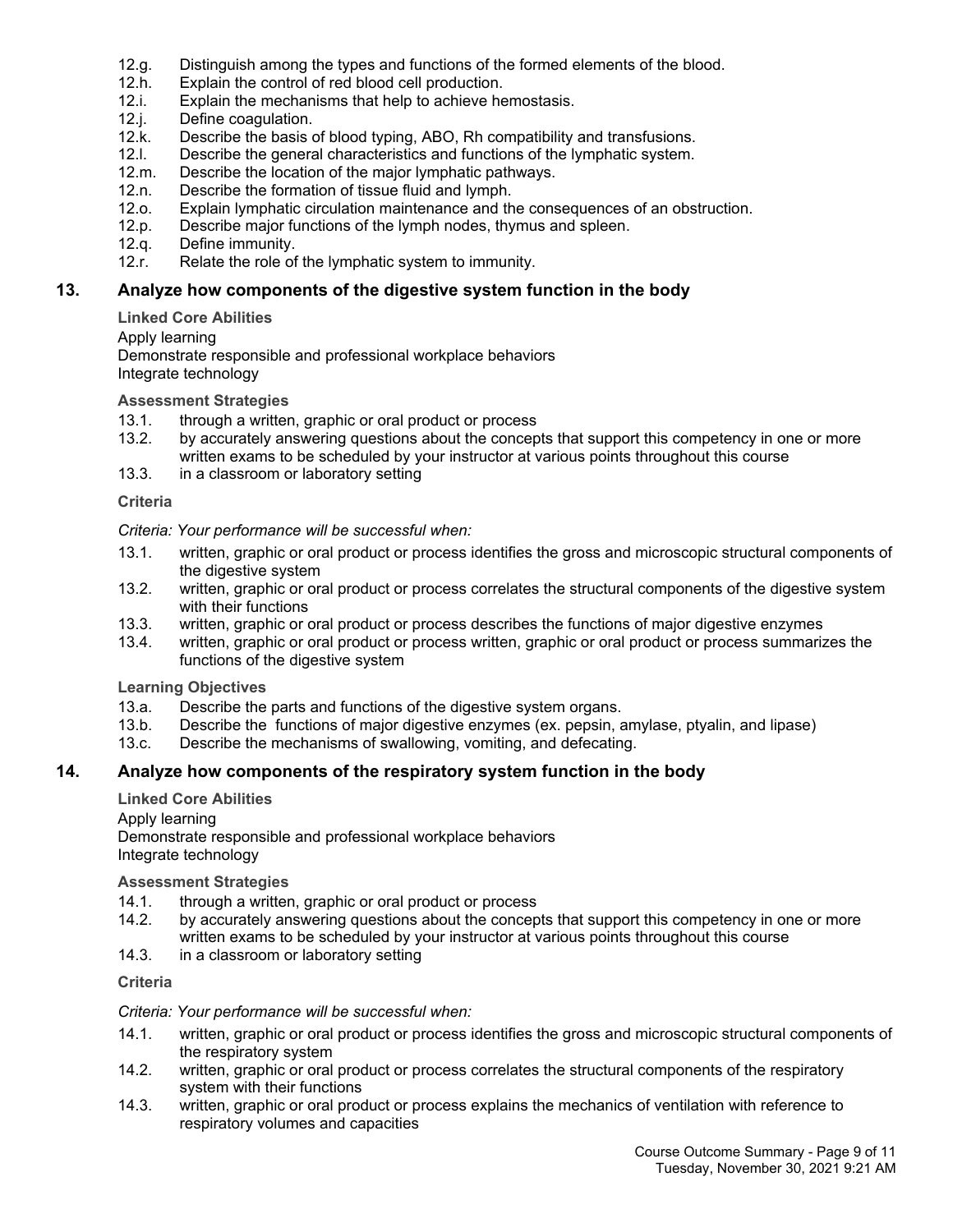- 12.g. Distinguish among the types and functions of the formed elements of the blood.
- 12.h. Explain the control of red blood cell production.
- 12.i. Explain the mechanisms that help to achieve hemostasis.
- 12.j. Define coagulation.<br>12.k. Describe the basis o
- 12.k. Describe the basis of blood typing, ABO, Rh compatibility and transfusions.<br>12.l. Describe the general characteristics and functions of the lymphatic system.
- Describe the general characteristics and functions of the lymphatic system.
- 12.m. Describe the location of the major lymphatic pathways.
- 12.n. Describe the formation of tissue fluid and lymph.
- 12.o. Explain lymphatic circulation maintenance and the consequences of an obstruction.
- 12.p. Describe major functions of the lymph nodes, thymus and spleen.
- 12.q. Define immunity.
- 12.r. Relate the role of the lymphatic system to immunity.

# **13. Analyze how components of the digestive system function in the body**

#### **Linked Core Abilities**

#### Apply learning

Demonstrate responsible and professional workplace behaviors Integrate technology

#### **Assessment Strategies**

- 13.1. through a written, graphic or oral product or process<br>13.2. by accurately answering questions about the concep
- by accurately answering questions about the concepts that support this competency in one or more written exams to be scheduled by your instructor at various points throughout this course
- 13.3. in a classroom or laboratory setting

#### **Criteria**

#### *Criteria: Your performance will be successful when:*

- 13.1. written, graphic or oral product or process identifies the gross and microscopic structural components of the digestive system
- 13.2. written, graphic or oral product or process correlates the structural components of the digestive system with their functions
- 13.3. written, graphic or oral product or process describes the functions of major digestive enzymes
- 13.4. written, graphic or oral product or process written, graphic or oral product or process summarizes the functions of the digestive system

# **Learning Objectives**

- 13.a. Describe the parts and functions of the digestive system organs.
- 13.b. Describe the functions of major digestive enzymes (ex. pepsin, amylase, ptyalin, and lipase)
- 13.c. Describe the mechanisms of swallowing, vomiting, and defecating.

# **14. Analyze how components of the respiratory system function in the body**

# **Linked Core Abilities**

Apply learning

Demonstrate responsible and professional workplace behaviors Integrate technology

**Assessment Strategies**

- 14.1. through a written, graphic or oral product or process
- 14.2. by accurately answering questions about the concepts that support this competency in one or more written exams to be scheduled by your instructor at various points throughout this course
- 14.3. in a classroom or laboratory setting

# **Criteria**

#### *Criteria: Your performance will be successful when:*

- 14.1. written, graphic or oral product or process identifies the gross and microscopic structural components of the respiratory system
- 14.2. written, graphic or oral product or process correlates the structural components of the respiratory system with their functions
- 14.3. written, graphic or oral product or process explains the mechanics of ventilation with reference to respiratory volumes and capacities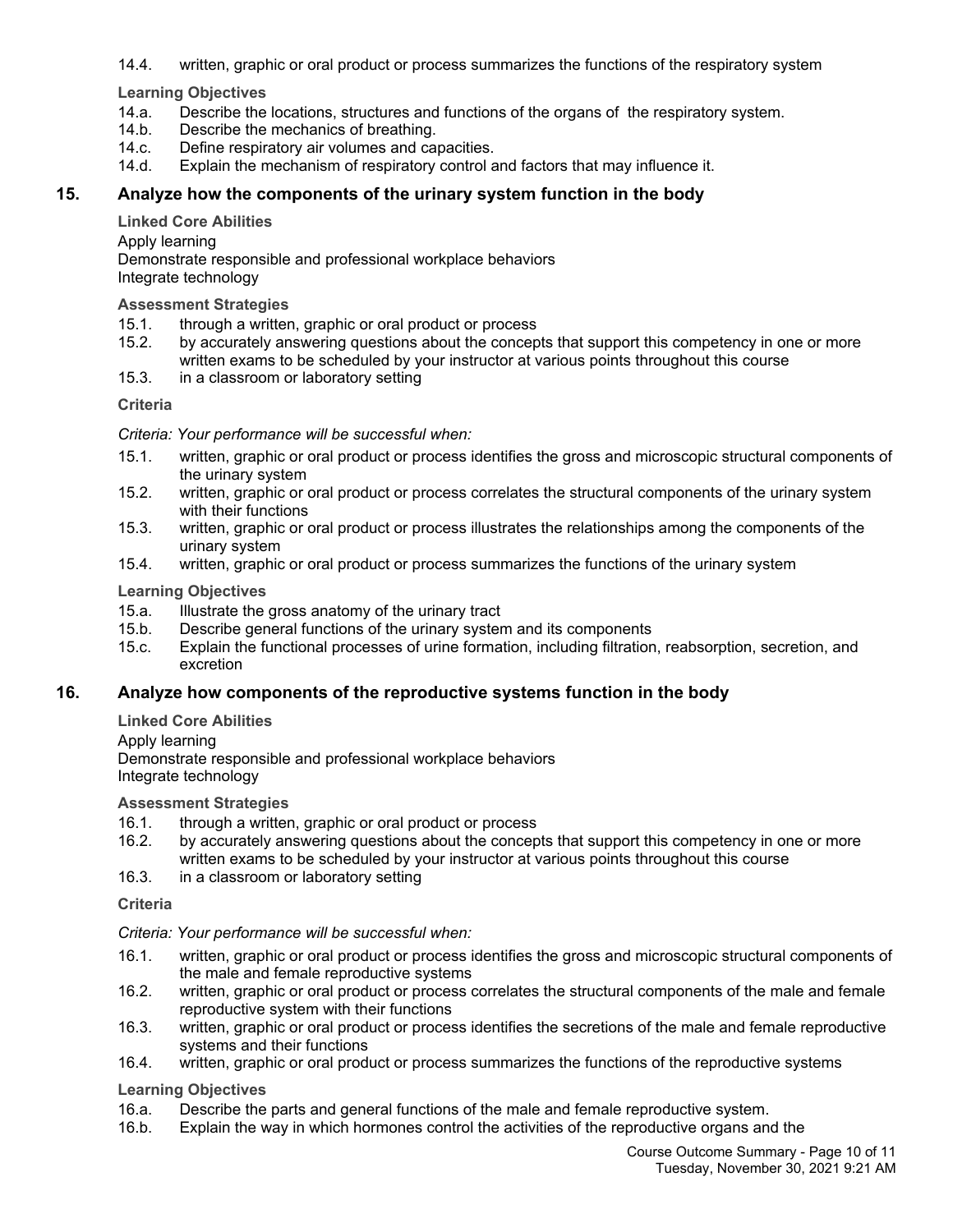14.4. written, graphic or oral product or process summarizes the functions of the respiratory system

**Learning Objectives**

- 14.a. Describe the locations, structures and functions of the organs of the respiratory system.
- 14.b. Describe the mechanics of breathing.
- 14.c. Define respiratory air volumes and capacities.
- 14.d. Explain the mechanism of respiratory control and factors that may influence it.

# **15. Analyze how the components of the urinary system function in the body**

#### **Linked Core Abilities**

Apply learning

Demonstrate responsible and professional workplace behaviors Integrate technology

# **Assessment Strategies**

- 15.1. through a written, graphic or oral product or process
- 15.2. by accurately answering questions about the concepts that support this competency in one or more written exams to be scheduled by your instructor at various points throughout this course
- 15.3. in a classroom or laboratory setting

# **Criteria**

# *Criteria: Your performance will be successful when:*

- 15.1. written, graphic or oral product or process identifies the gross and microscopic structural components of the urinary system
- 15.2. written, graphic or oral product or process correlates the structural components of the urinary system with their functions
- 15.3. written, graphic or oral product or process illustrates the relationships among the components of the urinary system
- 15.4. written, graphic or oral product or process summarizes the functions of the urinary system

**Learning Objectives**

- 15.a. Illustrate the gross anatomy of the urinary tract
- 15.b. Describe general functions of the urinary system and its components
- 15.c. Explain the functional processes of urine formation, including filtration, reabsorption, secretion, and excretion

# **16. Analyze how components of the reproductive systems function in the body**

**Linked Core Abilities**

# Apply learning

Demonstrate responsible and professional workplace behaviors Integrate technology

# **Assessment Strategies**

- 16.1. through a written, graphic or oral product or process
- 16.2. by accurately answering questions about the concepts that support this competency in one or more written exams to be scheduled by your instructor at various points throughout this course
- 16.3. in a classroom or laboratory setting

# **Criteria**

*Criteria: Your performance will be successful when:*

- 16.1. written, graphic or oral product or process identifies the gross and microscopic structural components of the male and female reproductive systems
- 16.2. written, graphic or oral product or process correlates the structural components of the male and female reproductive system with their functions
- 16.3. written, graphic or oral product or process identifies the secretions of the male and female reproductive systems and their functions
- 16.4. written, graphic or oral product or process summarizes the functions of the reproductive systems

- 16.a. Describe the parts and general functions of the male and female reproductive system.
- 16.b. Explain the way in which hormones control the activities of the reproductive organs and the